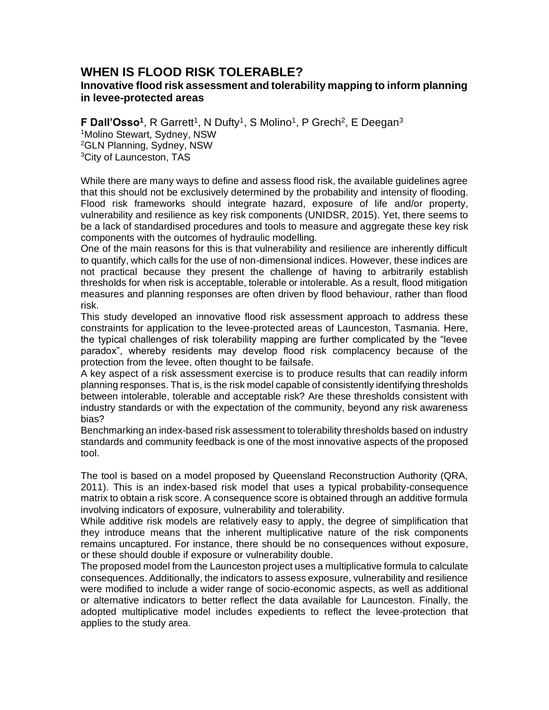## **WHEN IS FLOOD RISK TOLERABLE? Innovative flood risk assessment and tolerability mapping to inform planning**

**in levee-protected areas**

**F Dall'Osso<sup>1</sup>, R Garrett<sup>1</sup>, N Dufty<sup>1</sup>, S Molino<sup>1</sup>, P Grech<sup>2</sup>, E Deegan<sup>3</sup>** <sup>1</sup>Molino Stewart, Sydney, NSW <sup>2</sup>GLN Planning, Sydney, NSW

<sup>3</sup>City of Launceston, TAS

While there are many ways to define and assess flood risk, the available guidelines agree that this should not be exclusively determined by the probability and intensity of flooding. Flood risk frameworks should integrate hazard, exposure of life and/or property, vulnerability and resilience as key risk components (UNIDSR, 2015). Yet, there seems to be a lack of standardised procedures and tools to measure and aggregate these key risk components with the outcomes of hydraulic modelling.

One of the main reasons for this is that vulnerability and resilience are inherently difficult to quantify, which calls for the use of non-dimensional indices. However, these indices are not practical because they present the challenge of having to arbitrarily establish thresholds for when risk is acceptable, tolerable or intolerable. As a result, flood mitigation measures and planning responses are often driven by flood behaviour, rather than flood risk.

This study developed an innovative flood risk assessment approach to address these constraints for application to the levee-protected areas of Launceston, Tasmania. Here, the typical challenges of risk tolerability mapping are further complicated by the "levee paradox", whereby residents may develop flood risk complacency because of the protection from the levee, often thought to be failsafe.

A key aspect of a risk assessment exercise is to produce results that can readily inform planning responses. That is, is the risk model capable of consistently identifying thresholds between intolerable, tolerable and acceptable risk? Are these thresholds consistent with industry standards or with the expectation of the community, beyond any risk awareness bias?

Benchmarking an index-based risk assessment to tolerability thresholds based on industry standards and community feedback is one of the most innovative aspects of the proposed tool.

The tool is based on a model proposed by Queensland Reconstruction Authority (QRA, 2011). This is an index-based risk model that uses a typical probability-consequence matrix to obtain a risk score. A consequence score is obtained through an additive formula involving indicators of exposure, vulnerability and tolerability.

While additive risk models are relatively easy to apply, the degree of simplification that they introduce means that the inherent multiplicative nature of the risk components remains uncaptured. For instance, there should be no consequences without exposure, or these should double if exposure or vulnerability double.

The proposed model from the Launceston project uses a multiplicative formula to calculate consequences. Additionally, the indicators to assess exposure, vulnerability and resilience were modified to include a wider range of socio-economic aspects, as well as additional or alternative indicators to better reflect the data available for Launceston. Finally, the adopted multiplicative model includes expedients to reflect the levee-protection that applies to the study area.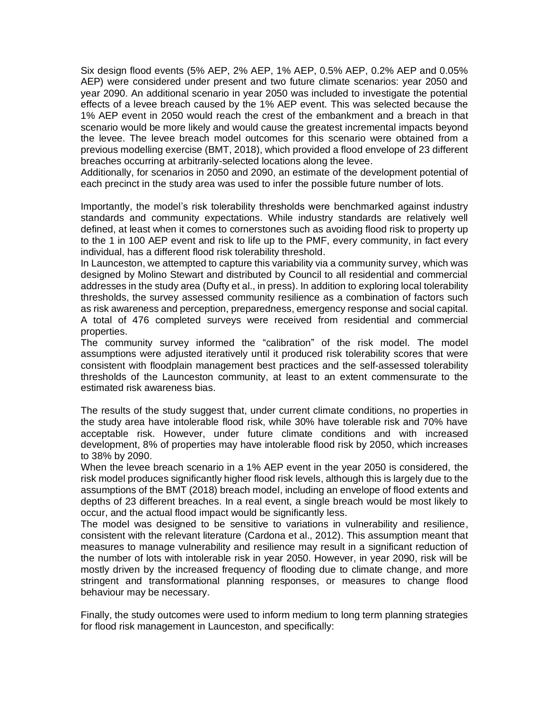Six design flood events (5% AEP, 2% AEP, 1% AEP, 0.5% AEP, 0.2% AEP and 0.05% AEP) were considered under present and two future climate scenarios: year 2050 and year 2090. An additional scenario in year 2050 was included to investigate the potential effects of a levee breach caused by the 1% AEP event. This was selected because the 1% AEP event in 2050 would reach the crest of the embankment and a breach in that scenario would be more likely and would cause the greatest incremental impacts beyond the levee. The levee breach model outcomes for this scenario were obtained from a previous modelling exercise (BMT, 2018), which provided a flood envelope of 23 different breaches occurring at arbitrarily-selected locations along the levee.

Additionally, for scenarios in 2050 and 2090, an estimate of the development potential of each precinct in the study area was used to infer the possible future number of lots.

Importantly, the model's risk tolerability thresholds were benchmarked against industry standards and community expectations. While industry standards are relatively well defined, at least when it comes to cornerstones such as avoiding flood risk to property up to the 1 in 100 AEP event and risk to life up to the PMF, every community, in fact every individual, has a different flood risk tolerability threshold.

In Launceston, we attempted to capture this variability via a community survey, which was designed by Molino Stewart and distributed by Council to all residential and commercial addresses in the study area (Dufty et al., in press). In addition to exploring local tolerability thresholds, the survey assessed community resilience as a combination of factors such as risk awareness and perception, preparedness, emergency response and social capital. A total of 476 completed surveys were received from residential and commercial properties.

The community survey informed the "calibration" of the risk model. The model assumptions were adjusted iteratively until it produced risk tolerability scores that were consistent with floodplain management best practices and the self-assessed tolerability thresholds of the Launceston community, at least to an extent commensurate to the estimated risk awareness bias.

The results of the study suggest that, under current climate conditions, no properties in the study area have intolerable flood risk, while 30% have tolerable risk and 70% have acceptable risk. However, under future climate conditions and with increased development, 8% of properties may have intolerable flood risk by 2050, which increases to 38% by 2090.

When the levee breach scenario in a 1% AEP event in the year 2050 is considered, the risk model produces significantly higher flood risk levels, although this is largely due to the assumptions of the BMT (2018) breach model, including an envelope of flood extents and depths of 23 different breaches. In a real event, a single breach would be most likely to occur, and the actual flood impact would be significantly less.

The model was designed to be sensitive to variations in vulnerability and resilience, consistent with the relevant literature (Cardona et al., 2012). This assumption meant that measures to manage vulnerability and resilience may result in a significant reduction of the number of lots with intolerable risk in year 2050. However, in year 2090, risk will be mostly driven by the increased frequency of flooding due to climate change, and more stringent and transformational planning responses, or measures to change flood behaviour may be necessary.

Finally, the study outcomes were used to inform medium to long term planning strategies for flood risk management in Launceston, and specifically: